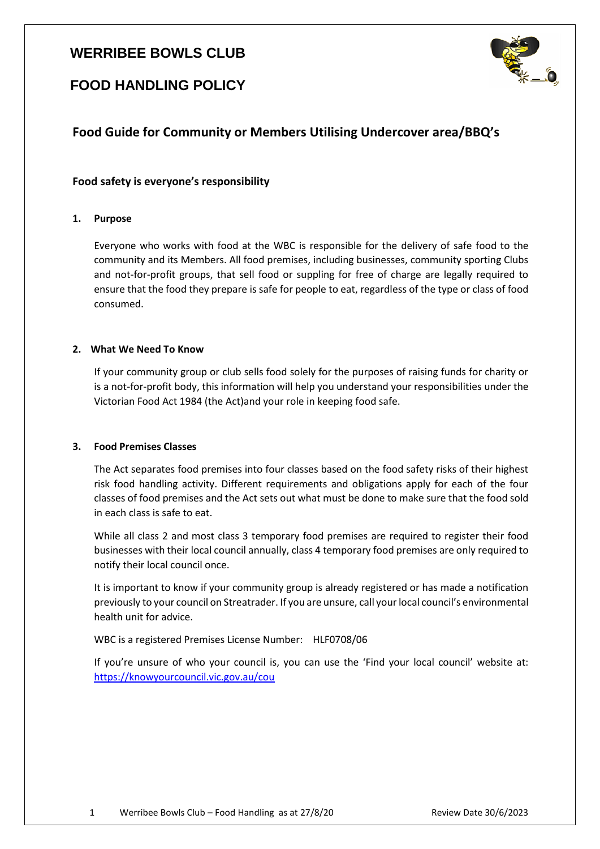# **WERRIBEE BOWLS CLUB**



# **FOOD HANDLING POLICY**

# **Food Guide for Community or Members Utilising Undercover area/BBQ's**

# **Food safety is everyone's responsibility**

# **1. Purpose**

Everyone who works with food at the WBC is responsible for the delivery of safe food to the community and its Members. All food premises, including businesses, community sporting Clubs and not-for-profit groups, that sell food or suppling for free of charge are legally required to ensure that the food they prepare is safe for people to eat, regardless of the type or class of food consumed.

# **2. What We Need To Know**

If your community group or club sells food solely for the purposes of raising funds for charity or is a not-for-profit body, this information will help you understand your responsibilities under the Victorian Food Act 1984 (the Act)and your role in keeping food safe.

## **3. Food Premises Classes**

The Act separates food premises into four classes based on the food safety risks of their highest risk food handling activity. Different requirements and obligations apply for each of the four classes of food premises and the Act sets out what must be done to make sure that the food sold in each class is safe to eat.

While all class 2 and most class 3 temporary food premises are required to register their food businesses with their local council annually, class 4 temporary food premises are only required to notify their local council once.

It is important to know if your community group is already registered or has made a notification previously to your council on Streatrader. If you are unsure, call your local council's environmental health unit for advice.

## WBC is a registered Premises License Number: HLF0708/06

If you're unsure of who your council is, you can use the 'Find your local council' website at: <https://knowyourcouncil.vic.gov.au/cou>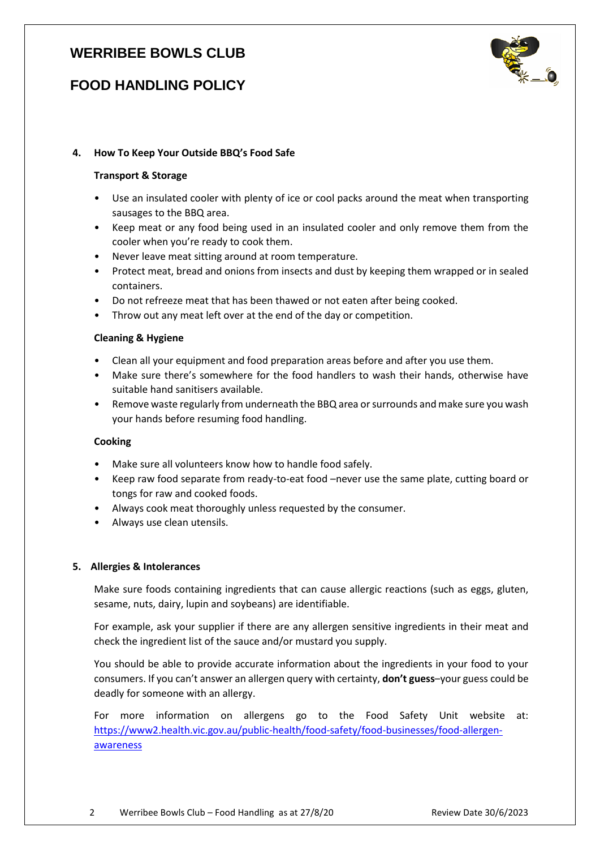# **WERRIBEE BOWLS CLUB**

# **FOOD HANDLING POLICY**



# **4. How To Keep Your Outside BBQ's Food Safe**

#### **Transport & Storage**

- Use an insulated cooler with plenty of ice or cool packs around the meat when transporting sausages to the BBQ area.
- Keep meat or any food being used in an insulated cooler and only remove them from the cooler when you're ready to cook them.
- Never leave meat sitting around at room temperature.
- Protect meat, bread and onions from insects and dust by keeping them wrapped or in sealed containers.
- Do not refreeze meat that has been thawed or not eaten after being cooked.
- Throw out any meat left over at the end of the day or competition.

#### **Cleaning & Hygiene**

- Clean all your equipment and food preparation areas before and after you use them.
- Make sure there's somewhere for the food handlers to wash their hands, otherwise have suitable hand sanitisers available.
- Remove waste regularly from underneath the BBQ area or surrounds and make sure you wash your hands before resuming food handling.

## **Cooking**

- Make sure all volunteers know how to handle food safely.
- Keep raw food separate from ready-to-eat food –never use the same plate, cutting board or tongs for raw and cooked foods.
- Always cook meat thoroughly unless requested by the consumer.
- Always use clean utensils.

## **5. Allergies & Intolerances**

Make sure foods containing ingredients that can cause allergic reactions (such as eggs, gluten, sesame, nuts, dairy, lupin and soybeans) are identifiable.

For example, ask your supplier if there are any allergen sensitive ingredients in their meat and check the ingredient list of the sauce and/or mustard you supply.

You should be able to provide accurate information about the ingredients in your food to your consumers. If you can't answer an allergen query with certainty, **don't guess**–your guess could be deadly for someone with an allergy.

For more information on allergens go to the Food Safety Unit website at: [https://www2.health.vic.gov.au/public-health/food-safety/food-businesses/food-allergen](https://www2.health.vic.gov.au/public-health/food-safety/food-businesses/food-allergen-awareness)[awareness](https://www2.health.vic.gov.au/public-health/food-safety/food-businesses/food-allergen-awareness)